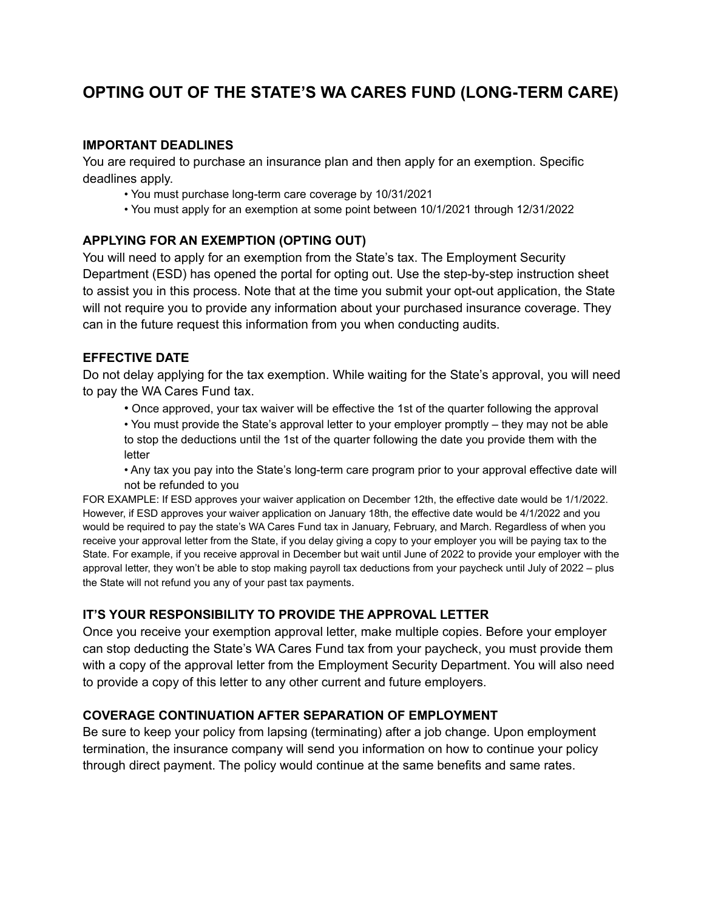## **OPTING OUT OF THE STATE'S WA CARES FUND (LONG-TERM CARE)**

#### **IMPORTANT DEADLINES**

You are required to purchase an insurance plan and then apply for an exemption. Specific deadlines apply.

- You must purchase long-term care coverage by 10/31/2021
- You must apply for an exemption at some point between 10/1/2021 through 12/31/2022

## **APPLYING FOR AN EXEMPTION (OPTING OUT)**

You will need to apply for an exemption from the State's tax. The Employment Security Department (ESD) has opened the portal for opting out. Use the step-by-step instruction sheet to assist you in this process. Note that at the time you submit your opt-out application, the State will not require you to provide any information about your purchased insurance coverage. They can in the future request this information from you when conducting audits.

#### **EFFECTIVE DATE**

Do not delay applying for the tax exemption. While waiting for the State's approval, you will need to pay the WA Cares Fund tax.

• Once approved, your tax waiver will be effective the 1st of the quarter following the approval

• You must provide the State's approval letter to your employer promptly – they may not be able to stop the deductions until the 1st of the quarter following the date you provide them with the letter

• Any tax you pay into the State's long-term care program prior to your approval effective date will not be refunded to you

FOR EXAMPLE: If ESD approves your waiver application on December 12th, the effective date would be 1/1/2022. However, if ESD approves your waiver application on January 18th, the effective date would be 4/1/2022 and you would be required to pay the state's WA Cares Fund tax in January, February, and March. Regardless of when you receive your approval letter from the State, if you delay giving a copy to your employer you will be paying tax to the State. For example, if you receive approval in December but wait until June of 2022 to provide your employer with the approval letter, they won't be able to stop making payroll tax deductions from your paycheck until July of 2022 – plus the State will not refund you any of your past tax payments.

## **IT'S YOUR RESPONSIBILITY TO PROVIDE THE APPROVAL LETTER**

Once you receive your exemption approval letter, make multiple copies. Before your employer can stop deducting the State's WA Cares Fund tax from your paycheck, you must provide them with a copy of the approval letter from the Employment Security Department. You will also need to provide a copy of this letter to any other current and future employers.

## **COVERAGE CONTINUATION AFTER SEPARATION OF EMPLOYMENT**

Be sure to keep your policy from lapsing (terminating) after a job change. Upon employment termination, the insurance company will send you information on how to continue your policy through direct payment. The policy would continue at the same benefits and same rates.